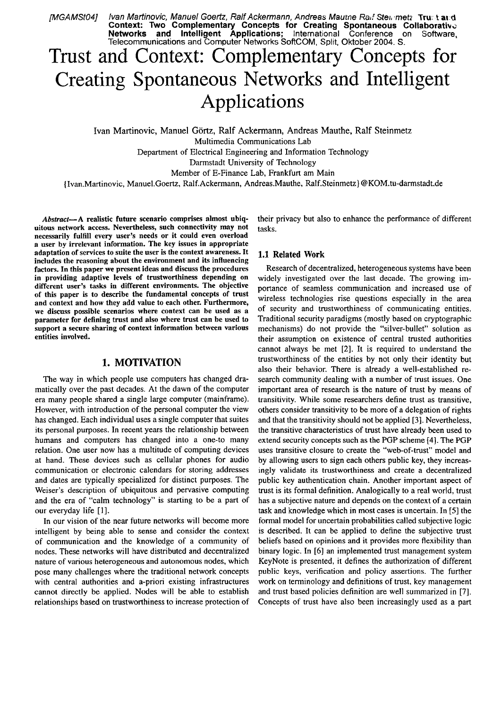[MGAMSt04] lvan Martinovic, Manuel Goertz, Ralf Ackermann, Andreas Mautne **Rarf** *Stei,.meti* **Trur t a~:d Context: Two Complementary Concepts for Creating Spontaneous Collaborative Networks and Intelligent Applications;** International Conference on Software, Telecommunications and Computer Networks SoftCOM, Split, Oktober 2004. S.

# Trust and Context: Complementary Concepts for Creating Spontaneous Networks and Intelligent Applications

Ivan Martinovic, Manuel Görtz, Ralf Ackermann, Andreas Mauthe, Ralf Steinmetz Multimedia Communications Lab Department of Electrical Engineering and Information Technology Darmstadt University of Technology Member of E-Finance Lab, Frankfurt am Main

{Ivan.Martinovic, Manuel.Goertz, Ralf.Ackermann, Andreas.Mauthe, Ralf.Steinmetz) @KOM.tu-darmstadt.de

Abstract-A realistic future scenario comprises almost ubiquitous network access. Nevertheless, such connectivity may not necessarily fulfill every user's needs or it could even overload a User by irrelevant information. The key issues in appropriate adaptation of services to suite the User is the context awareness. It includes the reasoning about the environment and its influencing factors. In this paper we present ideas and discuss the procedures in providing adaptive levels of trustworthiness depending on different user's tasks in different environments. The objective of this paper is to describe the fundamental concepts of trust and context and how they add value to each other. Furthermore, we discuss possible scenarios where context can be used as a parameter for defining trust and also where trust can be used **to**  support a secure sharing of context information between various entities involved.

# **1. MOTIVATION**

The way in which people use computers has changed dramatically over the past decades. At the dawn of the computer era many people shared a single large computer (mainframe). However, with introduction of the personal computer the view has changed. Each individual uses a single computer that suites its personal purposes. In recent years the relationship between humans and computers has changed into a one-to many relation. One user now has a multitude of computing devices at hand. These devices such as cellular phones for audio communication or electronic calendars for storing addresses and dates are typically specialized for distinct purposes. The Weiser's description of ubiquitous and pervasive computing and the era of "calm technology" is starting to be a part of our everyday life **[I].** 

In our vision of the near future networks will become more intelligent by being able to sense and consider the context of communication and the knowledge of a community of nodes. These networks will have distributed and decentralized nature of various heterogeneous and autonomous nodes, which pose many challenges where the traditional network concepts with central authorities and a-priori existing infrastructures cannot directly be applied. Nodes will be able to establish relationships based on tmstworthiness to increase protection of their privacy but also to enhance the performance of different tasks.

#### **1.1 Related Work**

Research of decentralized, heterogeneous systems have been widely investigated over the last decade. The growing importance of seamless communication and increased use of wireless technologies rise questions especially in the area of security and trustworthiness of communicating entities. Traditional security paradigms (mostly based on cryptographic mechanisms) do not provide the "silver-bullet" solution as their assumption on existence of central trusted authorities cannot always be met **[2].** It is required to understand the trustworthiness of the entities by not only their identity but also their behavior. There is aiready a well-established research community dealing with a number of trust issues. One important area of research is the nature of trust by means of transitivity. While some researchers define trust as transitive, others consider transitivity to be more of a delegation of rights and that the transitivity should not be applied **[3].** Nevertheless, the transitive characteristics of trust have already been used to extend security concepts such as the PGP scheme **[4].** The PGP uses transitive closure to create the "web-of-trust" model and by allowing users to sign each others public key, they increasingly validate its trustworthiness and create a decentralized public key authentication chain. Another important aspect of trust is its formal definition. Analogically to a real world, trust has a subjective nature and depends on the context of a certain task and knowledge which in most cases is uncertain. In **[SI** the formal model for uncertain probabilities called subjective logic is descnbed. It can be applied to define the subjective tmst beliefs based on opinions and it provides more flexibility than binary logic. In [6] an implemented trust management system KeyNote is presented, it defines the authorization of different public keys, verification and policy assertions. The further work on terminology and definitions of trust, key management and trust based policies definition are well sumrnarized in [7]. Concepts of trust have also been increasingly used as a part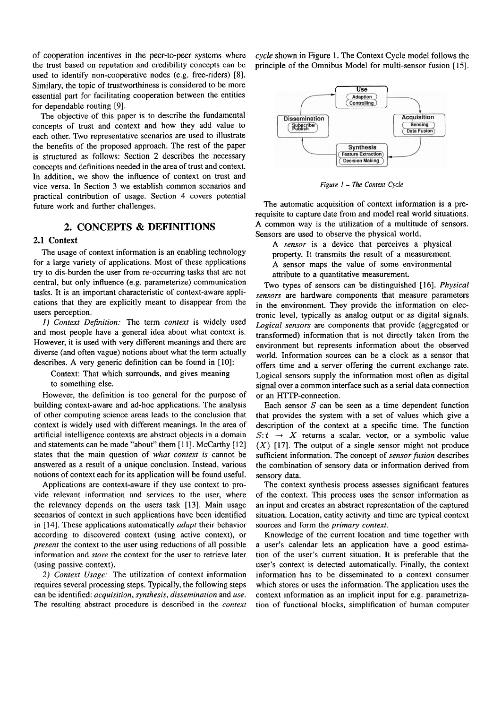of cooperation incentives in the peer-to-peer Systems where the trust based on reputation and credibility concepts can be used to identify non-cooperative nodes (e.g. free-riders) [8]. Similary, the topic of trustworthiness is considered to be more essential part for facilitating cooperation between the entities for dependable routing [9].

The objective of this paper is to describe the fundamental concepts of trust and context and how they add value to each other. Two representative scenarios are used to illustrate the benefits of the proposed approach. The rest of the paper is structured as follows: Section 2 describes the necessary concepts and definitions needed in the area of trust and context. In addition, we show the influence of context on trust and vice versa. In Section 3 we establish common scenarios and practical contribution of usage. Section 4 covers potential future work and further challenges.

# **2. CONCEPTS** & **DEFINITIONS**

## **2.1 Context**

The usage of context information is an enabling technology for a large variety of applications. Most of these applications try to dis-burden the User from re-occurring tasks that are not central, but only influence (e.g. parameterize) communication tasks. It is an important characteristic of context-aware applications that they are explicitly meant to disappear from the users perception.

*1) Context Dejnition:* The term *context* is widely used and most people have a general idea about what context is. However, it is used with very different meanings and there are diverse (and often vague) notions about what the term actually describes. **A** very generic definition can be found in [10]:

Context: That which surrounds, and gives meaning to something else.

However, the definition is too general for the purpose of building context-aware and ad-hoc applications. The analysis of other computing science areas leads to the conclusion that context is widely used with different meanings. In the area of artificial intelligente contexts are abstract objects in a domain and statements can be made "about" them [11]. McCarthy [12] states that the main question of *what context is* cannot be answered as a result of a unique conclusion. Instead, various notions of context each for its application will be found useful.

Applications are context-aware if they use context to provide relevant information and services to the user, where the relevancy depends on the users task [13]. Main usage scenarios of context in such applications have been identified in [14]. These applications automatically *adapt* their behavior according to discovered context (using active context), or *present* the context to the user using reductions of all possible information and *store* the context for the user to retrieve later (using passive context).

2) *Context Usage:* The utilization of context information requires several processing steps. Typically, the following steps can be identified: *acquisition, synthesis, dissemination* and *use.*  The resulting abstract procedure is described in the *conrext* 

*cycle* shown in Figure 1. The Context Cycle model follows the principle of the Omnibus Model for multi-sensor fusion **[15].** 



*Figure I* - *The* **Conrexr** *Cycle* 

The automatic acquisition of context information is a prerequisite to capture date from and model real world situations. A common way is the utilization of a multitude of sensors. Sensors are used to observe the physical world.

*A sensor* is a device that perceives a physical property. It transmits the result of a measurement. **A** sensor maps the value of some environmental attribute to a quantitative measurement.

TWO types of sensors can be distinguished [16]. *Physical*  sensors are hardware components that measure parameters in the environment. They provide the information on elecironic level, typically as analog output or as digital signals. *Logical sensors* are components that provide (aggregated or transformed) information that is not directly taken from the environment but represents information about the observed world. Information sources can be a clock as a sensor that offers time and a server offering the current exchange rate. Logical sensors supply the information most often as digital signal over a common interface such as a serial data connection or an HTTP-connection.

Each sensor  $S$  can be seen as a time dependent function that provides the system with a set of values which give a description of the context at a specific time. The function  $S: t \rightarrow X$  returns a scalar, vector, or a symbolic value  $(X)$  [17]. The output of a single sensor might not produce sufficient information. The concept of *sensor fusion* describes the combination of sensory data or information derived from sensory data.

The context synthesis process assesses significant features of the context. This process uses the sensor information as an input and creates an abstract representation of the captured situation. Location, entity activity and time are typical context sources and form the *primary context.* 

Knowledge of the current location and time together with a user's calendar lets an application have a good estimation of the user's current situation. It is preferable that the user's context is detected automatically. Finally, the context information has to be disseminated to a context consumer which stores or uses the information. The application uses the context information as an implicit input for e.g. parametrization of functional blocks, simplification of human Computer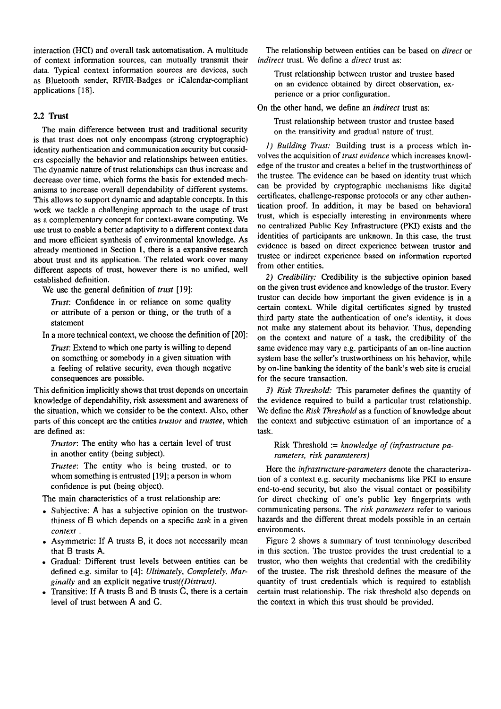interaction (HCI) and overall task automatisation. **A** multitude of context information sources, can mutually transmit their data. Typical context information sources are devices, such as Bluetooth sender, RF/IR-Badges or icalendar-compliant applications **[18].** 

## **2.2 Trust**

The main difference between trust and traditional security is that tmst does not only encompass (strong cryptographic) identity authentication and communication security but considers especially the behavior and relationships between entities. The dynamic nature of trust relationships can thus increase and decrease over time, which forms the basis for extended mechanisms to increase overall dependability of different Systems. This allows to support dynamic and adaptable concepts. In this work we tackle a challenging approach to the usage of trust as a complementary concept for context-aware computing. We use trust to enable a better adaptivity to a different context data and more efficient synthesis of environmental knowledge. As already mentioned in Section 1, there is a expansive research about trust and its application. The related work cover many different aspects of trust, however there is no unified, well established definition.

We use the general definition of trust [19]:

Trust: Confidence in or reliance on some quality or attribute of a person or thing, or the truth of a statement

In a more technical context, we choose the definition of **[20]:** 

Trust: Extend to which one party is willing to depend on something or somebody in a given situation with a feeling of relative security, even though negative consequences are possible.

This definition implicitly shows that trust depends on uncertain knowledge of dependability, risk assessment and awareness of the situation, which we consider to be the context. Also, other parts of this concept are the entities *trustor* and *trustee*, which are defined as:

Trustor: The entity who has a certain level of trust in another entity (being subject).

Trustee: The entity who is being trusted, or to whom something is entrusted [19]; a person in whom confidence is put (being object).

The main characteristics of a trust relationship are:

- Subjective: **A** has a subjective opinion on the trustworthiness of B which depends on a specific task in a given context .
- Asymmetrie: If **A** trusts B, it does not necessarily mean that B tmsts **A.**
- Gradual: Different trust levels between entities can be defined e.g. similar to [4]: Ultimately, Completely, Marginally and an explicit negative trust((Distrust).
- Transitive: If **A** trusts B and B tmsts C, there is a certain level of tmst between **A** and C.

The relationship between entities can be based on *direct* or indirect trust. We define a direct trust as:

Trust relationship between trustor and trustee based on an evidence obtained by direct obsewation, experience or a prior configuration.

On the other hand, we define an indirect trust as:

Trust relationship between trustor and trustee based on the transitivity and gradual nature of trust.

I) Building Trust: Building trust is a process which involves the acquisition of trust evidence which increases knowledge of the trustor and creates a belief in the trustworthiness of the trustee. The evidence can be based on identity trust which can be provided by cryptographic mechanisms like digital certificates, challenge-response protocols or any other authentication proof. In addition, it may be based on behavioral trust, which is especially interesting in environments where no centralized Public Key Infrastructure (PKI) exists and the identities of participants are unknown. In this case, the trust evidence is based on direct experience between tmstor and tmstee or indirect experience based on information reported from other entities.

2) Credibility: Credibility is the subjective opinion based on the given trust evidence and knowledge of the trustor. Every trustor can decide how important the given evidence is in a certain context. While digital certificates signed by tmsted third party state the authentication of one's identity, it does not make any statement about its behavior. Thus, depending on the context and nature of a task, the credibility of the same evidence may vary e.g. participants of an on-line auction system base the seller's trustworthiness on his behavior, while by on-line banking the identity of the bank's web site is crucial for the secure transaction.

3) Risk Threshold: This parameter defines the quantity of the evidence required to build a particular trust relationship. We define the Risk Threshold as a function of knowledge about the context and subjective estimation of an importance of a task.

#### Risk Threshold  $:=$  knowledge of (infrastructure parameters, risk paramterers)

Here the infrastructure-parameters denote the characterization of a context e.g. security mechanisms like PKI to ensure end-to-end security, but also the visual contact or possibility for direct checking of one's public key fingerprints with communicating persons. The risk parameters refer to various hazards and the different threat models possible in an certain environments.

Figure 2 shows a summary of trust terminology described in this section. The trustee provides the trust credential to a trustor, who then weights that credential with the credibility of the trustee. The risk threshold defines the measure of the quantity of tmst credentials which is required to establish certain tmst relationship. The risk threshold also depends on the context in which this trust should be provided.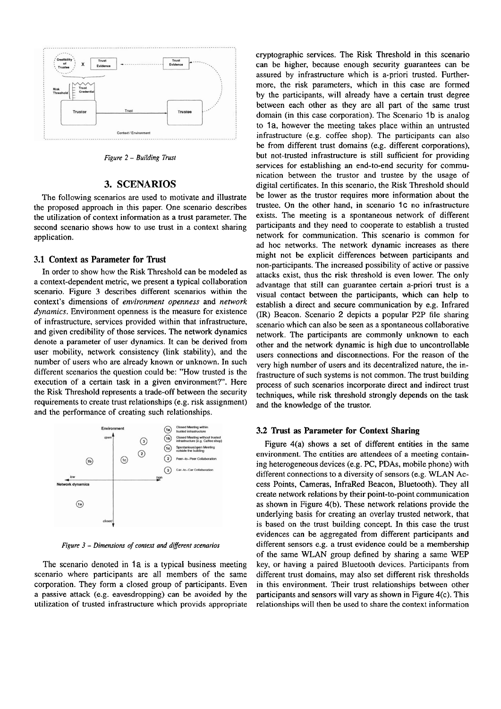

*Figure 2* - *Building Trust* 

# **3. SCENARIOS**

The following scenarios are used to motivate and illustrate the proposed approach in this paper. One scenario describes the utilization of context information as a trust parameter. The second scenario shows how to use trust in a context sharing application.

#### **3.1 Context as Parameter for Trust**

In order to show how the Risk Threshold can be modeled as a context-dependent metric, we present a typical collaboration scenario. Figure **3** describes different scenarios within the context's dimensions of *environment openness* and *network dynamics.* Environment openness is the measure for existence of infrastructure, services provided within that infrastructure, and given credibility of those services. The network dynamics denote a parameter of user dynamics. It can be derived from user mobility, network consistency (link stability), and the number of users who are already known or unknown. In such different scenarios the question could be: "How trusted is the execution of a certain task in a given environment?'. Here the Risk Threshold represents a trade-off between the security requirements to create trust relationships (e.g. risk assignment) and the performance of creating such relationships.



*Figure* **<sup>3</sup>**- *Dimensions of contexi and different scenarios* 

The scenario denoted in 1a is a typical business meeting scenario where participants are all members of the Same corporation. They form a closed group of participants. Even a passive attack (e.g. eavesdropping) can be avoided by the utilization of trusted infrastructure which provids appropriate cryptographic services. The Risk Threshold in this scenario can be higher, because enough security guarantees can be assured by infrastructure which is a-priori trusted. Furthermore, the risk Parameters, which in this case are formed by the participants, will already have a certain trust degree between each other as they are all part of the Same trust domain (in this case corporation). The Scenario 1b is analog to 1a, however the meeting takes place within an untrusted infrastructure (e.g. coffee shop). The participants can also be from different trust domains (e.g. different corporations), but not-trusted infrastructure is still sufficient for providing services for establishing an end-to-end security for communication between the tmstor and trustee by the usage of digital certificates. In this scenario, the Risk Threshold should be lower as the trustor requires more information about the trustee. On the other hand, in scenario Ic no infrastructure exists. The meeting is a spontaneous network of different participants and they need to cooperate to establish a trusted network for communication. This scenario is common for ad hoc networks. The network dynamic increases as there might not be explicit differences between participants and non-participants. The increased possibility of active or passive attacks exist, thus the risk threshold is even lower. The only advantage that still can guarantee certain a-priori trust is a visual contact between the participants, which can help to establish a direct and secure communication by e.g. Infrared (IR) Beacon. Scenario 2 depicts a popular P2P file sharing scenario which can also be seen as a spontaneous collaborative network. The participants are commonly unknown to each other and the network dynamic is high due to uncontrollable users connections and disconnections. For the reason of the very high number of users and its decentralized nature, the infrastructure of such systems is not common. The trust building process of such scenarios incorporate direct and indirect trust techniques, while risk threshold strongly depends on the task and the knowledge of the trustor.

#### **3.2 Trust as Parameter for Context Sharing**

Figure  $4(a)$  shows a set of different entities in the same environment. The entities are attendees of a meeting containing heterogeneous devices (e.g. PC, PDAs, mobile phone) with different connections to a diversity of sensors (e.g. WLAN Access Points, Cameras, InfraRed Beacon, Bluetooth). They all create network relations by their point-to-point communication as shown in Figure 4(b). These network relations provide the underlying basis for creating an overlay trusted network, that is based on the trust building concept. In this case the tmst evidences can be aggregated from different participants and different sensors e.g. a trust evidence could be a membership of the Same WLAN group defined by sharing a Same WEP key, or having a paired Bluetooth devices. Participants from different trust domains, may also set different risk thresholds in this environment. Their trust relationships between other participants and sensors will vary as shown in Figure 4(c). This relationships will then be used to share the context information